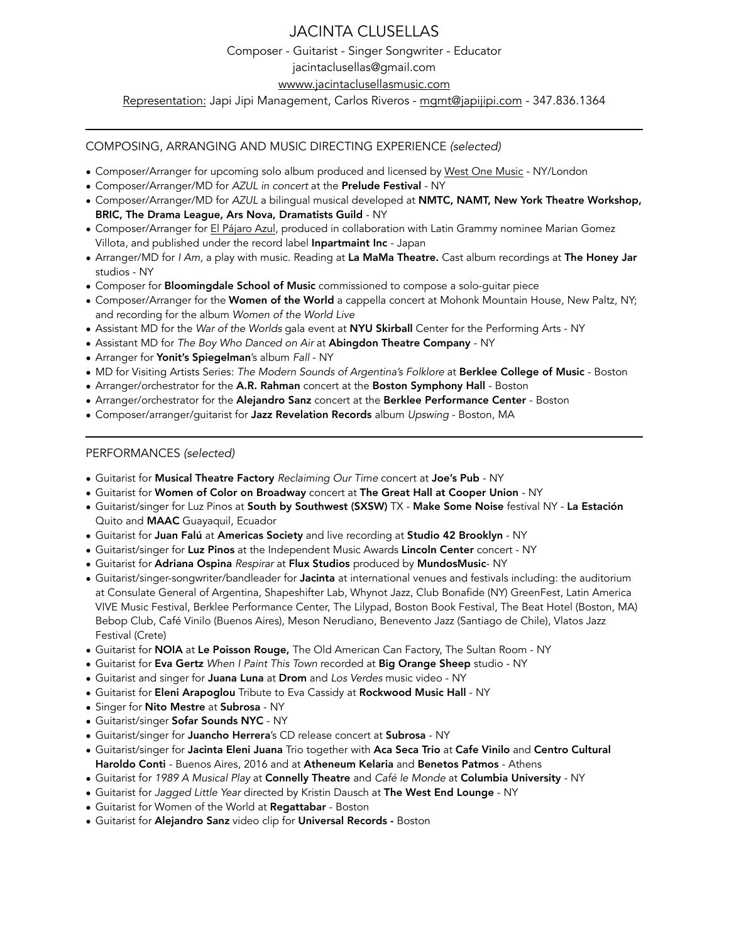# JACINTA CLUSELLAS

Composer - Guitarist - Singer Songwriter - Educator

[jacintaclusellas@gmail.com](mailto:jacintaclusellas@gmail.com)

[wwww.jacintaclusellasmusic.com](http://wwww.jacintaclusellasmusic.com)

Representation: Japi Jipi Management, Carlos Riveros - [mgmt@japijipi.com](mailto:mgmt@japijipi.com) - 347.836.1364

# COMPOSING, ARRANGING AND MUSIC DIRECTING EXPERIENCE *(selected)*

- Composer/Arranger for upcoming solo album produced and licensed by [West One Music](https://www.westonemusic.com/about) NY/London
- Composer/Arranger/MD for *AZUL in concert* at the Prelude Festival NY
- Composer/Arranger/MD for *AZUL* a bilingual musical developed at NMTC, NAMT, New York Theatre Workshop, BRIC, The Drama League, Ars Nova, Dramatists Guild - NY
- Composer/Arranger for [El Pájaro Azul](https://www.jacintaclusellasmusic.com/music), produced in collaboration with Latin Grammy nominee Marian Gomez Villota, and published under the record label Inpartmaint Inc - Japan
- Arranger/MD for *I Am,* a play with music. Reading at La MaMa Theatre. Cast album recordings at The Honey Jar studios - NY
- Composer for **Bloomingdale School of Music** commissioned to compose a solo-quitar piece
- Composer/Arranger for the Women of the World a cappella concert at Mohonk Mountain House, New Paltz, NY; and recording for the album *Women of the World Live*
- Assistant MD for the *War of the Worlds* gala event at NYU Skirball Center for the Performing Arts NY
- Assistant MD for *The Boy Who Danced on Air* at Abingdon Theatre Company NY
- Arranger for Yonit's Spiegelman's album *Fall*  NY
- MD for Visiting Artists Series: *The Modern Sounds of Argentina's Folklore* at Berklee College of Music Boston
- Arranger/orchestrator for the A.R. Rahman concert at the Boston Symphony Hall Boston
- Arranger/orchestrator for the Alejandro Sanz concert at the Berklee Performance Center Boston
- Composer/arranger/guitarist for Jazz Revelation Records album *Upswing* Boston, MA

# PERFORMANCES *(selected)*

- Guitarist for Musical Theatre Factory *Reclaiming Our Time* concert at Joe's Pub NY
- Guitarist for Women of Color on Broadway concert at The Great Hall at Cooper Union NY
- Guitarist/singer for Luz Pinos at South by Southwest (SXSW) TX Make Some Noise festival NY La Estación Quito and MAAC Guayaquil, Ecuador
- Guitarist for Juan Falú at Americas Society and live recording at Studio 42 Brooklyn NY
- Guitarist/singer for Luz Pinos at the Independent Music Awards Lincoln Center concert NY
- Guitarist for Adriana Ospina *Respirar* at Flux Studios produced by MundosMusic- NY
- Guitarist/singer-songwriter/bandleader for Jacinta at international venues and festivals including: the auditorium at Consulate General of Argentina, Shapeshifter Lab, Whynot Jazz, Club Bonafide (NY) GreenFest, Latin America VIVE Music Festival, Berklee Performance Center, The Lilypad, Boston Book Festival, The Beat Hotel (Boston, MA) Bebop Club, Café Vinilo (Buenos Aires), Meson Nerudiano, Benevento Jazz (Santiago de Chile), Vlatos Jazz Festival (Crete)
- Guitarist for NOIA at Le Poisson Rouge, The Old American Can Factory, The Sultan Room NY
- Guitarist for Eva Gertz *When I Paint This Town* recorded at Big Orange Sheep studio NY
- Guitarist and singer for Juana Luna at Drom and *Los Verdes* music video NY
- Guitarist for Eleni Arapoglou Tribute to Eva Cassidy at Rockwood Music Hall NY
- Singer for Nito Mestre at Subrosa NY
- Guitarist/singer Sofar Sounds NYC NY
- Guitarist/singer for Juancho Herrera's CD release concert at Subrosa NY
- Guitarist/singer for Jacinta Eleni Juana Trio together with Aca Seca Trio at Cafe Vinilo and Centro Cultural Haroldo Conti - Buenos Aires, 2016 and at Atheneum Kelaria and Benetos Patmos - Athens
- Guitarist for *1989 A Musical Play* at Connelly Theatre and *Café le Monde* at Columbia University NY
- Guitarist for *Jagged Little Year* directed by Kristin Dausch at The West End Lounge NY
- Guitarist for Women of the World at Regattabar Boston
- Guitarist for Alejandro Sanz video clip for Universal Records Boston